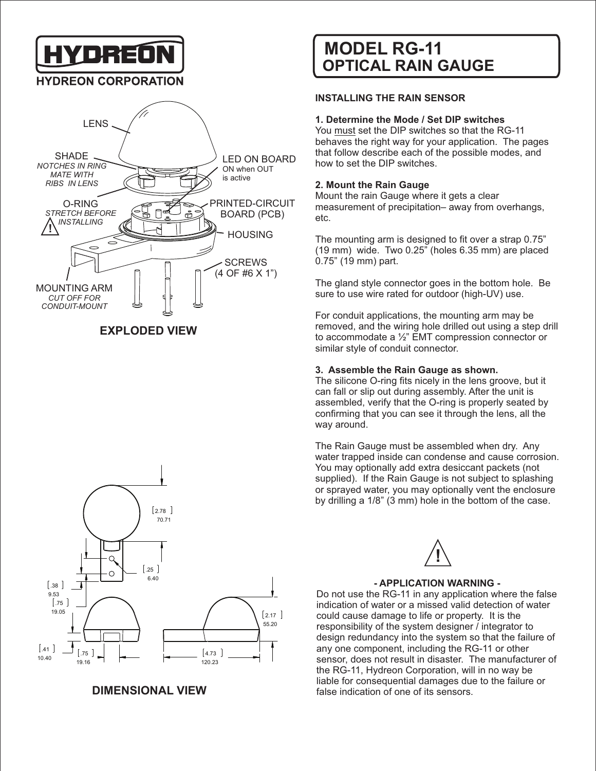YDREÓ

## **HYDREON CORPORATION**



## **EXPLODED VIEW**



**DIMENSIONAL VIEW**

## **OPTICAL RAIN GAUGE MODEL RG-11**

#### **INSTALLING THE RAIN SENSOR**

#### **1. Determine the Mode / Set DIP switches**

You must set the DIP switches so that the RG-11 behaves the right way for your application. The pages that follow describe each of the possible modes, and how to set the DIP switches.

#### **2. Mount the Rain Gauge**

Mount the rain Gauge where it gets a clear measurement of precipitation– away from overhangs, etc.

The mounting arm is designed to fit over a strap 0.75" (19 mm) wide. Two 0.25" (holes 6.35 mm) are placed 0.75" (19 mm) part.

The gland style connector goes in the bottom hole. Be sure to use wire rated for outdoor (high-UV) use.

For conduit applications, the mounting arm may be removed, and the wiring hole drilled out using a step drill to accommodate a ½" EMT compression connector or similar style of conduit connector.

#### **3. Assemble the Rain Gauge as shown.**

The silicone O-ring fits nicely in the lens groove, but it can fall or slip out during assembly. After the unit is assembled, verify that the O-ring is properly seated by confirming that you can see it through the lens, all the way around.

The Rain Gauge must be assembled when dry. Any water trapped inside can condense and cause corrosion. You may optionally add extra desiccant packets (not supplied). If the Rain Gauge is not subject to splashing or sprayed water, you may optionally vent the enclosure by drilling a 1/8" (3 mm) hole in the bottom of the case.



#### **- APPLICATION WARNING -**

Do not use the RG-11 in any application where the false indication of water or a missed valid detection of water could cause damage to life or property. It is the responsibility of the system designer / integrator to design redundancy into the system so that the failure of any one component, including the RG-11 or other sensor, does not result in disaster. The manufacturer of the RG-11, Hydreon Corporation, will in no way be liable for consequential damages due to the failure or false indication of one of its sensors.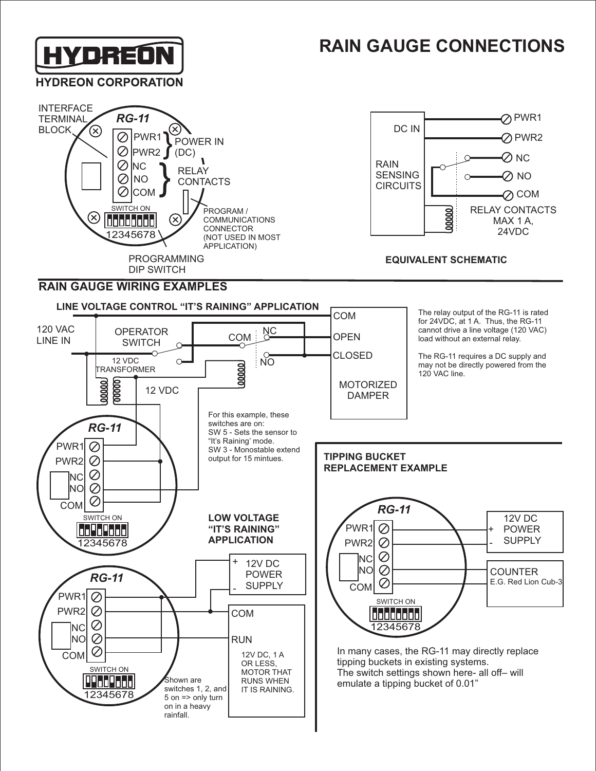# **HYDREON**

## **RAIN GAUGE CONNECTIONS**







## **EQUIVALENT SCHEMATIC**

### **RAIN GAUGE WIRING EXAMPLES**

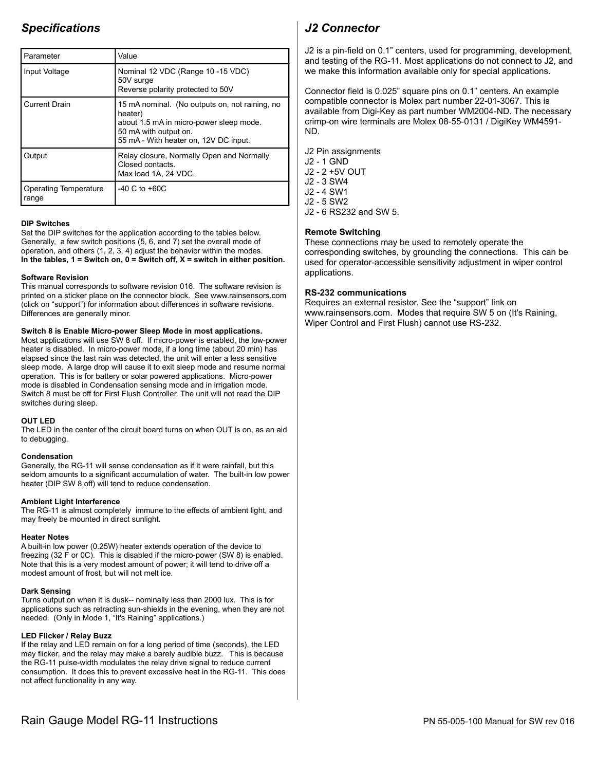## **Specifications**

| Parameter                      | Value                                                                                                                                                                  |
|--------------------------------|------------------------------------------------------------------------------------------------------------------------------------------------------------------------|
| Input Voltage                  | Nominal 12 VDC (Range 10 -15 VDC)<br>50V surge<br>Reverse polarity protected to 50V                                                                                    |
| <b>Current Drain</b>           | 15 mA nominal. (No outputs on, not raining, no<br>heater)<br>about 1.5 mA in micro-power sleep mode.<br>50 mA with output on.<br>55 mA - With heater on, 12V DC input. |
| Output                         | Relay closure, Normally Open and Normally<br>Closed contacts.<br>Max load 1A, 24 VDC.                                                                                  |
| Operating Temperature<br>range | $-40 C$ to $+60 C$                                                                                                                                                     |

#### **DIP Switches**

Set the DIP switches for the application according to the tables below. Generally, a few switch positions (5, 6, and 7) set the overall mode of operation, and others (1, 2, 3, 4) adjust the behavior within the modes. In the tables,  $1 =$  Switch on,  $0 =$  Switch off,  $X =$  switch in either position.

#### **Software Revision**

This manual corresponds to software revision 016. The software revision is printed on a sticker place on the connector block. See www.rainsensors.com (click on "support") for information about differences in software revisions. Differences are generally minor.

#### Switch 8 is Enable Micro-power Sleep Mode in most applications.

Most applications will use SW 8 off. If micro-power is enabled, the low-power heater is disabled. In micro-power mode, if a long time (about 20 min) has elapsed since the last rain was detected, the unit will enter a less sensitive sleep mode. A large drop will cause it to exit sleep mode and resume normal operation. This is for battery or solar powered applications. Micro-power mode is disabled in Condensation sensing mode and in irrigation mode. Switch 8 must be off for First Flush Controller. The unit will not read the DIP switches during sleep.

#### **OUT LED**

The LED in the center of the circuit board turns on when OUT is on, as an aid to debugging.

#### Condensation

Generally, the RG-11 will sense condensation as if it were rainfall, but this seldom amounts to a significant accumulation of water. The built-in low power heater (DIP SW 8 off) will tend to reduce condensation.

#### **Ambient Light Interference**

The RG-11 is almost completely immune to the effects of ambient light, and may freely be mounted in direct sunlight.

#### **Heater Notes**

A built-in low power (0.25W) heater extends operation of the device to freezing (32 F or 0C). This is disabled if the micro-power (SW 8) is enabled. Note that this is a very modest amount of power; it will tend to drive off a modest amount of frost, but will not melt ice.

#### **Dark Sensing**

Turns output on when it is dusk-- nominally less than 2000 lux. This is for applications such as retracting sun-shields in the evening, when they are not needed. (Only in Mode 1, "It's Raining" applications.)

#### LED Flicker / Relay Buzz

If the relay and LED remain on for a long period of time (seconds), the LED may flicker, and the relay may make a barely audible buzz. This is because the RG-11 pulse-width modulates the relay drive signal to reduce current consumption. It does this to prevent excessive heat in the RG-11. This does not affect functionality in any way.

## **J2 Connector**

J2 is a pin-field on 0.1" centers, used for programming, development, and testing of the RG-11. Most applications do not connect to J2, and we make this information available only for special applications.

Connector field is 0.025" square pins on 0.1" centers. An example compatible connector is Molex part number 22-01-3067. This is available from Digi-Key as part number WM2004-ND. The necessary crimp-on wire terminals are Molex 08-55-0131 / DigiKey WM4591-ND.

- J2 Pin assignments
- J2 1 GND
- J2 2 +5V OUT
- J2 3 SW4 J2 - 4 SW1
- J2 5 SW2
- J2 6 RS232 and SW 5.

#### **Remote Switching**

These connections may be used to remotely operate the corresponding switches, by grounding the connections. This can be used for operator-accessible sensitivity adjustment in wiper control applications.

#### **RS-232 communications**

Requires an external resistor. See the "support" link on www.rainsensors.com. Modes that require SW 5 on (It's Raining, Wiper Control and First Flush) cannot use RS-232.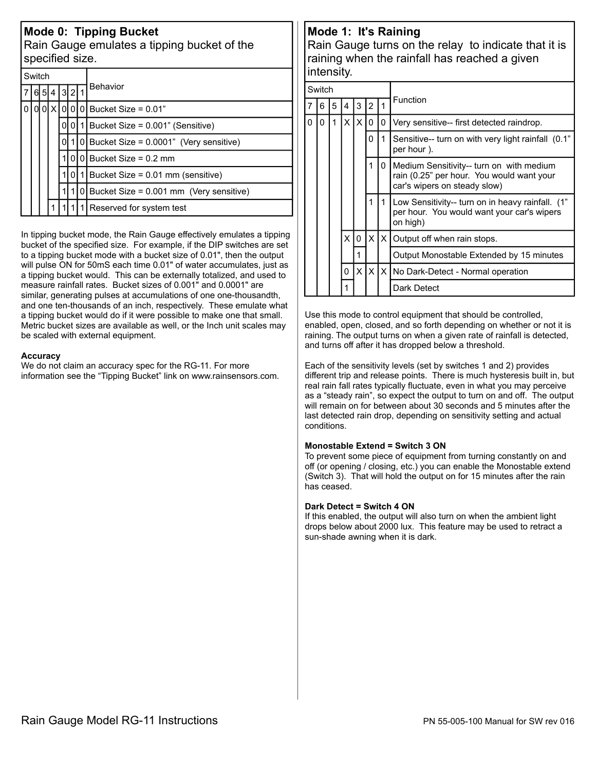## **Mode 0: Tipping Bucket**

Rain Gauge emulates a tipping bucket of the specified size.

|   | Switch |  |         |          |     |    |                                                                       |  |  |  |  |  |  |  |  |
|---|--------|--|---------|----------|-----|----|-----------------------------------------------------------------------|--|--|--|--|--|--|--|--|
| 7 |        |  | 6 5 4 I |          | 321 |    | <b>Behavior</b>                                                       |  |  |  |  |  |  |  |  |
| 0 |        |  |         |          |     |    | $0 0 X 0 0 0 $ Bucket Size = 0.01"                                    |  |  |  |  |  |  |  |  |
|   |        |  |         | $\Omega$ | ΩI  | 11 | Bucket Size = 0.001" (Sensitive)                                      |  |  |  |  |  |  |  |  |
|   |        |  |         | ΩI       |     |    | $1 0 $ Bucket Size = 0.0001" (Very sensitive)                         |  |  |  |  |  |  |  |  |
|   |        |  |         |          | 0I. |    | 0 Bucket Size = $0.2$ mm<br>$0$   1 Bucket Size = 0.01 mm (sensitive) |  |  |  |  |  |  |  |  |
|   |        |  |         |          |     |    |                                                                       |  |  |  |  |  |  |  |  |
|   |        |  |         |          |     |    | 0 Bucket Size = $0.001$ mm (Very sensitive)                           |  |  |  |  |  |  |  |  |
|   |        |  |         |          |     |    | Reserved for system test                                              |  |  |  |  |  |  |  |  |

In tipping bucket mode, the Rain Gauge effectively emulates a tipping bucket of the specified size. For example, if the DIP switches are set to a tipping bucket mode with a bucket size of 0.01", then the output will pulse ON for 50mS each time 0.01" of water accumulates, just as a tipping bucket would. This can be externally totalized, and used to measure rainfall rates. Bucket sizes of 0.001" and 0.0001" are similar, generating pulses at accumulations of one one-thousandth, and one ten-thousands of an inch, respectively. These emulate what a tipping bucket would do if it were possible to make one that small. Metric bucket sizes are available as well, or the lnch unit scales may be scaled with external equipment.

#### **Accuracy**

We do not claim an accuracy spec for the RG-11. For more information see the "Tipping Bucket" link on www.rainsensors.com.

## Mode 1: It's Raining

Rain Gauge turns on the relay to indicate that it is raining when the rainfall has reached a given intensity.

|   | Switch |   |   |          |                |     |                                                                                                                       |  |  |  |  |
|---|--------|---|---|----------|----------------|-----|-----------------------------------------------------------------------------------------------------------------------|--|--|--|--|
|   | 6      | 5 | 4 | 3        | $\overline{2}$ |     | Function                                                                                                              |  |  |  |  |
| 0 | 0      | 1 | X | $\times$ | $\Omega$       | 0   | Very sensitive-- first detected raindrop.                                                                             |  |  |  |  |
|   |        |   |   |          | 0              | 1   | Sensitive-- turn on with very light rainfall (0.1"<br>per hour).                                                      |  |  |  |  |
|   |        |   |   |          | 1              | 0   | Medium Sensitivity-- turn on with medium<br>rain (0.25" per hour. You would want your<br>car's wipers on steady slow) |  |  |  |  |
|   |        |   |   |          | 1              | 1.  | Low Sensitivity-- turn on in heavy rainfall. (1"<br>per hour. You would want your car's wipers<br>on high)            |  |  |  |  |
|   |        |   | X | 0        |                |     | $X$ $X$ Output off when rain stops.<br>Output Monostable Extended by 15 minutes                                       |  |  |  |  |
|   |        |   |   |          |                |     |                                                                                                                       |  |  |  |  |
|   |        |   | 0 | χI       | $\times$       | ΙXΙ | No Dark-Detect - Normal operation                                                                                     |  |  |  |  |
|   |        |   |   |          |                |     | Dark Detect                                                                                                           |  |  |  |  |

Use this mode to control equipment that should be controlled, enabled, open, closed, and so forth depending on whether or not it is raining. The output turns on when a given rate of rainfall is detected, and turns off after it has dropped below a threshold.

Each of the sensitivity levels (set by switches 1 and 2) provides different trip and release points. There is much hysteresis built in, but real rain fall rates typically fluctuate, even in what you may perceive as a "steady rain", so expect the output to turn on and off. The output will remain on for between about 30 seconds and 5 minutes after the last detected rain drop, depending on sensitivity setting and actual conditions.

#### **Monostable Extend = Switch 3 ON**

To prevent some piece of equipment from turning constantly on and off (or opening / closing, etc.) you can enable the Monostable extend (Switch 3). That will hold the output on for 15 minutes after the rain has ceased.

#### Dark Detect = Switch 4 ON

If this enabled, the output will also turn on when the ambient light drops below about 2000 lux. This feature may be used to retract a sun-shade awning when it is dark.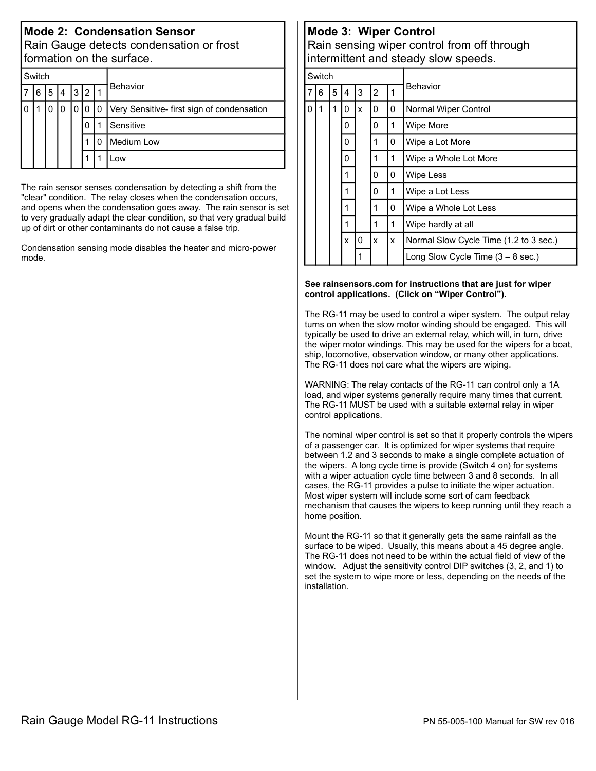## **Mode 2: Condensation Sensor** Rain Gauge detects condensation or frost formation on the surface.

| Switch |   |   |   |   |   |   |                                            |  |  |  |  |  |
|--------|---|---|---|---|---|---|--------------------------------------------|--|--|--|--|--|
|        | 6 | 5 | 4 | 3 | 2 |   | Behavior                                   |  |  |  |  |  |
|        |   |   |   |   |   | 0 | Very Sensitive- first sign of condensation |  |  |  |  |  |
|        |   |   |   |   | 0 |   | Sensitive                                  |  |  |  |  |  |
|        |   |   |   |   |   | 0 | <b>Medium Low</b>                          |  |  |  |  |  |
|        |   |   |   |   |   |   | .OW                                        |  |  |  |  |  |

The rain sensor senses condensation by detecting a shift from the "clear" condition. The relay closes when the condensation occurs, and opens when the condensation goes away. The rain sensor is set to very gradually adapt the clear condition, so that very gradual build up of dirt or other contaminants do not cause a false trip.

Condensation sensing mode disables the heater and micro-power mode.

## Mode 3: Wiper Control

Rain sensing wiper control from off through intermittent and steady slow speeds.

|          | Switch |   |              |   |                |   |                                             |  |  |
|----------|--------|---|--------------|---|----------------|---|---------------------------------------------|--|--|
| 7        | 6      | 5 | 4            | 3 | $\overline{2}$ | 1 | Behavior                                    |  |  |
| $\Omega$ | 1      | 1 | 0            | x | 0              | 0 | Normal Wiper Control                        |  |  |
|          |        |   | 0            |   | 0              | 1 | Wipe More                                   |  |  |
|          |        |   | 0            |   | 1              | 0 | Wipe a Lot More                             |  |  |
|          |        |   | 0            |   | 1              | 1 | Wipe a Whole Lot More                       |  |  |
|          |        |   | 1            |   | 0              | 0 | Wipe Less                                   |  |  |
|          |        |   | 1            |   | 0              | 1 | Wipe a Lot Less                             |  |  |
|          |        |   | 1            |   | 1              | 0 | Wipe a Whole Lot Less                       |  |  |
|          |        |   | 1            |   | $\mathbf{1}$   | 1 | Wipe hardly at all                          |  |  |
|          |        |   | $\mathsf{x}$ | 0 | x              | x | Normal Slow Cycle Time (1.2 to 3 sec.)      |  |  |
|          |        |   |              |   |                |   | Long Slow Cycle Time $(3 - 8 \text{ sec.})$ |  |  |

#### See rainsensors.com for instructions that are just for wiper control applications. (Click on "Wiper Control").

The RG-11 may be used to control a wiper system. The output relay turns on when the slow motor winding should be engaged. This will typically be used to drive an external relay, which will, in turn, drive the wiper motor windings. This may be used for the wipers for a boat, ship, locomotive, observation window, or many other applications. The RG-11 does not care what the wipers are wiping.

WARNING: The relay contacts of the RG-11 can control only a 1A load, and wiper systems generally require many times that current. The RG-11 MUST be used with a suitable external relay in wiper control applications.

The nominal wiper control is set so that it properly controls the wipers of a passenger car. It is optimized for wiper systems that require between 1.2 and 3 seconds to make a single complete actuation of the wipers. A long cycle time is provide (Switch 4 on) for systems with a wiper actuation cycle time between 3 and 8 seconds. In all cases, the RG-11 provides a pulse to initiate the wiper actuation. Most wiper system will include some sort of cam feedback mechanism that causes the wipers to keep running until they reach a home position.

Mount the RG-11 so that it generally gets the same rainfall as the surface to be wiped. Usually, this means about a 45 degree angle. The RG-11 does not need to be within the actual field of view of the window. Adjust the sensitivity control DIP switches (3, 2, and 1) to set the system to wipe more or less, depending on the needs of the installation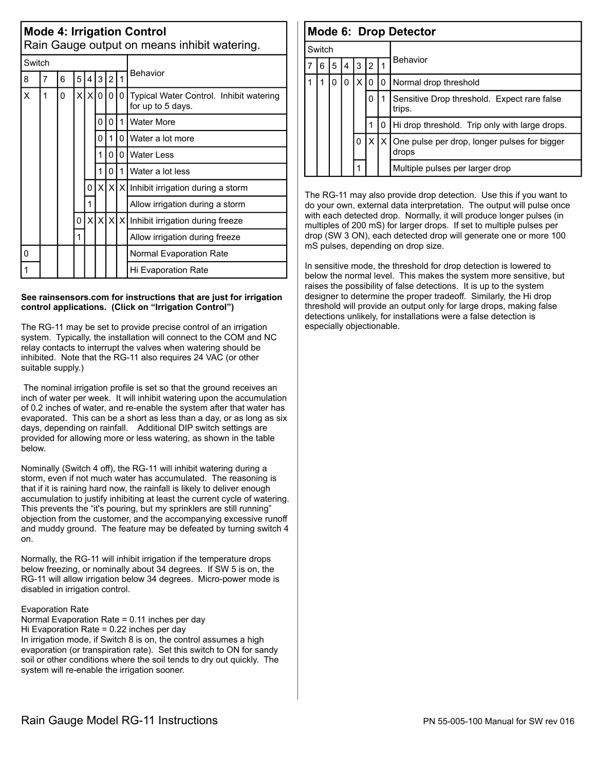|   | <b>Mode 4: Irrigation Control</b><br>Rain Gauge output on means inhibit watering. |   |    |                 |     |   |   |                                                              |  |  |  |
|---|-----------------------------------------------------------------------------------|---|----|-----------------|-----|---|---|--------------------------------------------------------------|--|--|--|
|   | Switch                                                                            |   |    |                 |     |   |   |                                                              |  |  |  |
| 8 | 5<br>3<br>1<br>7<br>$\overline{2}$<br>6<br>4                                      |   |    |                 |     |   |   | <b>Behavior</b>                                              |  |  |  |
| X | 1                                                                                 | 0 | xl | $\vert x \vert$ | 0 l | 0 | 0 | Typical Water Control. Inhibit watering<br>for up to 5 days. |  |  |  |
|   |                                                                                   |   |    |                 | 0   | 0 | 1 | <b>Water More</b>                                            |  |  |  |
|   |                                                                                   |   |    |                 | 0   | 1 | 0 | Water a lot more                                             |  |  |  |
|   |                                                                                   |   |    |                 | 1   | 0 | 0 | <b>Water Less</b>                                            |  |  |  |
|   |                                                                                   |   |    |                 | 1   | 0 | 1 | Water a lot less                                             |  |  |  |
|   |                                                                                   |   |    | 0               | χI  |   |   | $X[X]$ Inhibit irrigation during a storm                     |  |  |  |
|   |                                                                                   |   |    | 1               |     |   |   | Allow irrigation during a storm                              |  |  |  |
|   |                                                                                   |   | 0  |                 |     |   |   | x   x   x   x   Inhibit irrigation during freeze             |  |  |  |
|   |                                                                                   |   | 1  |                 |     |   |   | Allow irrigation during freeze                               |  |  |  |
| 0 |                                                                                   |   |    |                 |     |   |   | Normal Evaporation Rate                                      |  |  |  |
|   |                                                                                   |   |    |                 |     |   |   | Hi Evaporation Rate                                          |  |  |  |

#### See rainsensors.com for instructions that are just for irrigation control applications. (Click on "Irrigation Control")

The RG-11 may be set to provide precise control of an irrigation system. Typically, the installation will connect to the COM and NC relay contacts to interrupt the valves when watering should be inhibited. Note that the RG-11 also requires 24 VAC (or other suitable supply.)

The nominal irrigation profile is set so that the ground receives an inch of water per week. It will inhibit watering upon the accumulation of 0.2 inches of water, and re-enable the system after that water has evaporated. This can be a short as less than a day, or as long as six days, depending on rainfall. Additional DIP switch settings are provided for allowing more or less watering, as shown in the table helow

Nominally (Switch 4 off), the RG-11 will inhibit watering during a storm, even if not much water has accumulated. The reasoning is that if it is raining hard now, the rainfall is likely to deliver enough accumulation to justify inhibiting at least the current cycle of watering. This prevents the "it's pouring, but my sprinklers are still running" objection from the customer, and the accompanying excessive runoff and muddy ground. The feature may be defeated by turning switch 4  $n<sub>n</sub>$ 

Normally, the RG-11 will inhibit irrigation if the temperature drops below freezing, or nominally about 34 degrees. If SW 5 is on, the RG-11 will allow irrigation below 34 degrees. Micro-power mode is disabled in irrigation control.

#### **Evaporation Rate**

Normal Evaporation Rate = 0.11 inches per day Hi Evaporation Rate =  $0.22$  inches per day In irrigation mode, if Switch 8 is on, the control assumes a high evaporation (or transpiration rate). Set this switch to ON for sandy soil or other conditions where the soil tends to dry out quickly. The system will re-enable the irrigation sooner.

|   | Mode 6: Drop Detector |   |   |    |           |    |                                                       |  |  |  |
|---|-----------------------|---|---|----|-----------|----|-------------------------------------------------------|--|--|--|
|   | Switch                |   |   |    |           |    |                                                       |  |  |  |
| 7 | 6                     | 5 | 4 | 3  | <u> 2</u> |    | Behavior                                              |  |  |  |
|   |                       | O | 0 | ΧI | 10        | 0  | Normal drop threshold                                 |  |  |  |
|   |                       |   |   |    | 0         |    | Sensitive Drop threshold. Expect rare false<br>trips. |  |  |  |
|   |                       |   |   |    |           | 0  | Hi drop threshold. Trip only with large drops.        |  |  |  |
|   |                       |   |   | 0  | X         | ΙX | One pulse per drop, longer pulses for bigger<br>drops |  |  |  |
|   |                       |   |   |    |           |    | Multiple pulses per larger drop                       |  |  |  |

The RG-11 may also provide drop detection. Use this if you want to do your own, external data interpretation. The output will pulse once with each detected drop. Normally, it will produce longer pulses (in multiples of 200 mS) for larger drops. If set to multiple pulses per drop (SW 3 ON), each detected drop will generate one or more 100 mS pulses, depending on drop size.

In sensitive mode, the threshold for drop detection is lowered to below the normal level. This makes the system more sensitive, but raises the possibility of false detections. It is up to the system designer to determine the proper tradeoff. Similarly, the Hi drop threshold will provide an output only for large drops, making false detections unlikely, for installations were a false detection is especially objectionable.